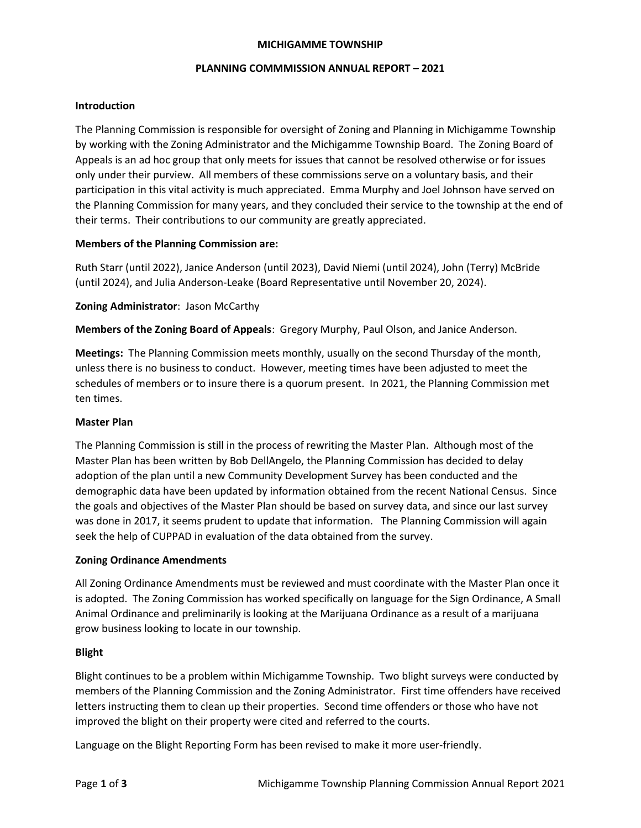### MICHIGAMME TOWNSHIP

### PLANNING COMMMISSION ANNUAL REPORT – 2021

## Introduction

The Planning Commission is responsible for oversight of Zoning and Planning in Michigamme Township by working with the Zoning Administrator and the Michigamme Township Board. The Zoning Board of Appeals is an ad hoc group that only meets for issues that cannot be resolved otherwise or for issues only under their purview. All members of these commissions serve on a voluntary basis, and their participation in this vital activity is much appreciated. Emma Murphy and Joel Johnson have served on the Planning Commission for many years, and they concluded their service to the township at the end of their terms. Their contributions to our community are greatly appreciated.

## Members of the Planning Commission are:

Ruth Starr (until 2022), Janice Anderson (until 2023), David Niemi (until 2024), John (Terry) McBride (until 2024), and Julia Anderson-Leake (Board Representative until November 20, 2024).

# Zoning Administrator: Jason McCarthy

Members of the Zoning Board of Appeals: Gregory Murphy, Paul Olson, and Janice Anderson.

Meetings: The Planning Commission meets monthly, usually on the second Thursday of the month, unless there is no business to conduct. However, meeting times have been adjusted to meet the schedules of members or to insure there is a quorum present. In 2021, the Planning Commission met ten times.

## Master Plan

The Planning Commission is still in the process of rewriting the Master Plan. Although most of the Master Plan has been written by Bob DellAngelo, the Planning Commission has decided to delay adoption of the plan until a new Community Development Survey has been conducted and the demographic data have been updated by information obtained from the recent National Census. Since the goals and objectives of the Master Plan should be based on survey data, and since our last survey was done in 2017, it seems prudent to update that information. The Planning Commission will again seek the help of CUPPAD in evaluation of the data obtained from the survey.

## Zoning Ordinance Amendments

All Zoning Ordinance Amendments must be reviewed and must coordinate with the Master Plan once it is adopted. The Zoning Commission has worked specifically on language for the Sign Ordinance, A Small Animal Ordinance and preliminarily is looking at the Marijuana Ordinance as a result of a marijuana grow business looking to locate in our township.

## Blight

Blight continues to be a problem within Michigamme Township. Two blight surveys were conducted by members of the Planning Commission and the Zoning Administrator. First time offenders have received letters instructing them to clean up their properties. Second time offenders or those who have not improved the blight on their property were cited and referred to the courts.

Language on the Blight Reporting Form has been revised to make it more user-friendly.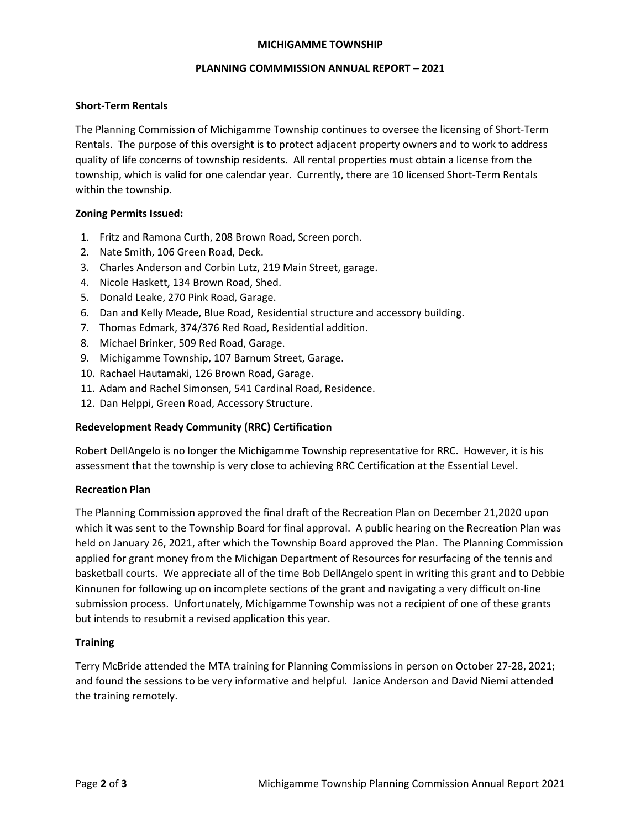### MICHIGAMME TOWNSHIP

### PLANNING COMMMISSION ANNUAL REPORT – 2021

## Short-Term Rentals

The Planning Commission of Michigamme Township continues to oversee the licensing of Short-Term Rentals. The purpose of this oversight is to protect adjacent property owners and to work to address quality of life concerns of township residents. All rental properties must obtain a license from the township, which is valid for one calendar year. Currently, there are 10 licensed Short-Term Rentals within the township.

### Zoning Permits Issued:

- 1. Fritz and Ramona Curth, 208 Brown Road, Screen porch.
- 2. Nate Smith, 106 Green Road, Deck.
- 3. Charles Anderson and Corbin Lutz, 219 Main Street, garage.
- 4. Nicole Haskett, 134 Brown Road, Shed.
- 5. Donald Leake, 270 Pink Road, Garage.
- 6. Dan and Kelly Meade, Blue Road, Residential structure and accessory building.
- 7. Thomas Edmark, 374/376 Red Road, Residential addition.
- 8. Michael Brinker, 509 Red Road, Garage.
- 9. Michigamme Township, 107 Barnum Street, Garage.
- 10. Rachael Hautamaki, 126 Brown Road, Garage.
- 11. Adam and Rachel Simonsen, 541 Cardinal Road, Residence.
- 12. Dan Helppi, Green Road, Accessory Structure.

### Redevelopment Ready Community (RRC) Certification

Robert DellAngelo is no longer the Michigamme Township representative for RRC. However, it is his assessment that the township is very close to achieving RRC Certification at the Essential Level.

### Recreation Plan

The Planning Commission approved the final draft of the Recreation Plan on December 21,2020 upon which it was sent to the Township Board for final approval. A public hearing on the Recreation Plan was held on January 26, 2021, after which the Township Board approved the Plan. The Planning Commission applied for grant money from the Michigan Department of Resources for resurfacing of the tennis and basketball courts. We appreciate all of the time Bob DellAngelo spent in writing this grant and to Debbie Kinnunen for following up on incomplete sections of the grant and navigating a very difficult on-line submission process. Unfortunately, Michigamme Township was not a recipient of one of these grants but intends to resubmit a revised application this year.

### **Training**

Terry McBride attended the MTA training for Planning Commissions in person on October 27-28, 2021; and found the sessions to be very informative and helpful. Janice Anderson and David Niemi attended the training remotely.